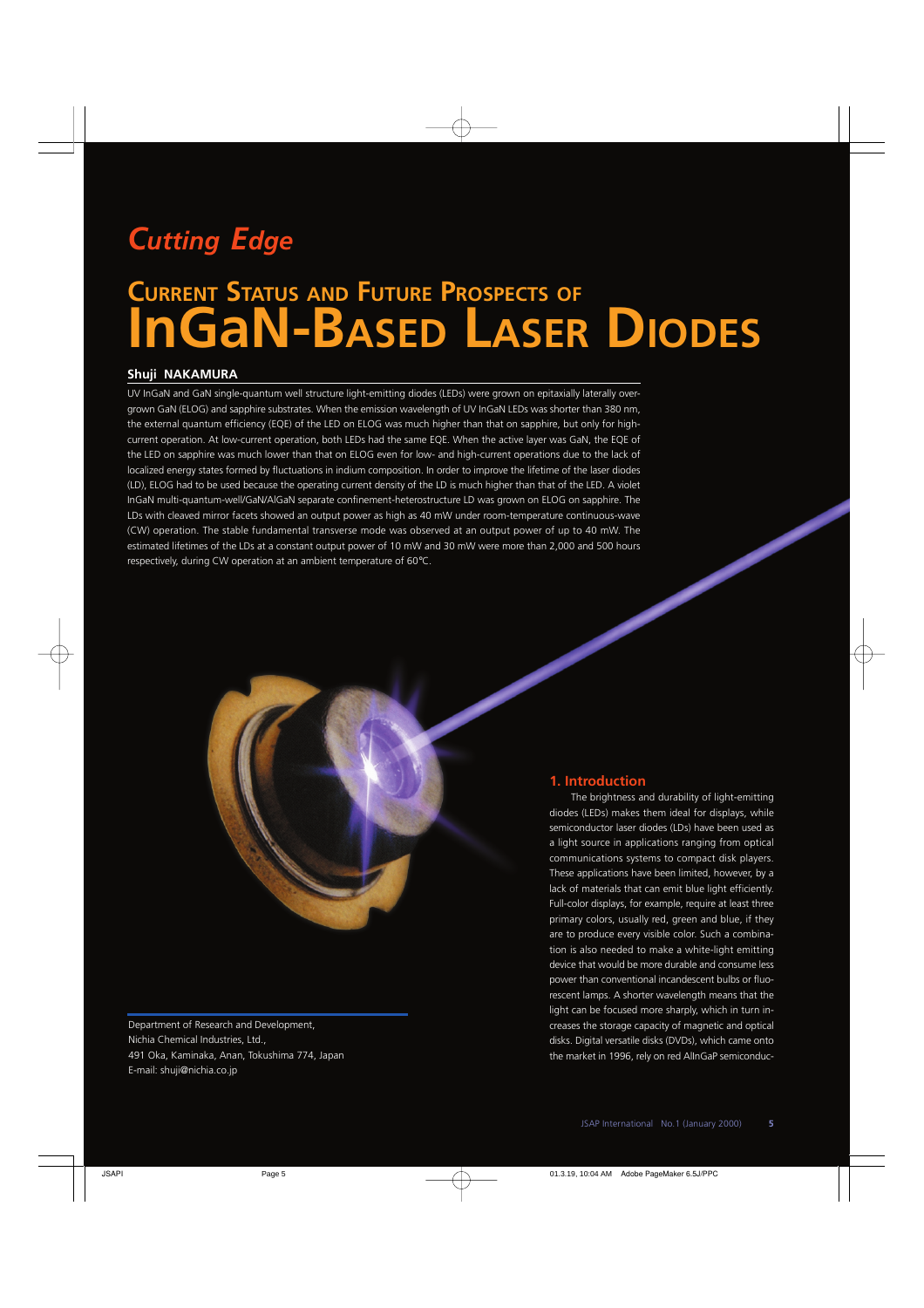## *Cutting Edge*

# **CURRENT STATUS AND FUTURE PROSPECTS OF InGaN-BASED LASER DIODES**

## **Shuji NAKAMURA**

UV InGaN and GaN single-quantum well structure light-emitting diodes (LEDs) were grown on epitaxially laterally overgrown GaN (ELOG) and sapphire substrates. When the emission wavelength of UV InGaN LEDs was shorter than 380 nm, the external quantum efficiency (EQE) of the LED on ELOG was much higher than that on sapphire, but only for highcurrent operation. At low-current operation, both LEDs had the same EQE. When the active layer was GaN, the EQE of the LED on sapphire was much lower than that on ELOG even for low- and high-current operations due to the lack of localized energy states formed by fluctuations in indium composition. In order to improve the lifetime of the laser diodes (LD), ELOG had to be used because the operating current density of the LD is much higher than that of the LED. A violet InGaN multi-quantum-well/GaN/AlGaN separate confinement-heterostructure LD was grown on ELOG on sapphire. The LDs with cleaved mirror facets showed an output power as high as 40 mW under room-temperature continuous-wave (CW) operation. The stable fundamental transverse mode was observed at an output power of up to 40 mW. The estimated lifetimes of the LDs at a constant output power of 10 mW and 30 mW were more than 2,000 and 500 hours respectively, during CW operation at an ambient temperature of 60°C.

Department of Research and Development, Nichia Chemical Industries, Ltd., 491 Oka, Kaminaka, Anan, Tokushima 774, Japan E-mail: shuji@nichia.co.jp

## **1. Introduction**

The brightness and durability of light-emitting diodes (LEDs) makes them ideal for displays, while semiconductor laser diodes (LDs) have been used as a light source in applications ranging from optical communications systems to compact disk players. These applications have been limited, however, by a lack of materials that can emit blue light efficiently. Full-color displays, for example, require at least three primary colors, usually red, green and blue, if they are to produce every visible color. Such a combination is also needed to make a white-light emitting device that would be more durable and consume less power than conventional incandescent bulbs or fluorescent lamps. A shorter wavelength means that the light can be focused more sharply, which in turn increases the storage capacity of magnetic and optical disks. Digital versatile disks (DVDs), which came onto the market in 1996, rely on red AlInGaP semiconduc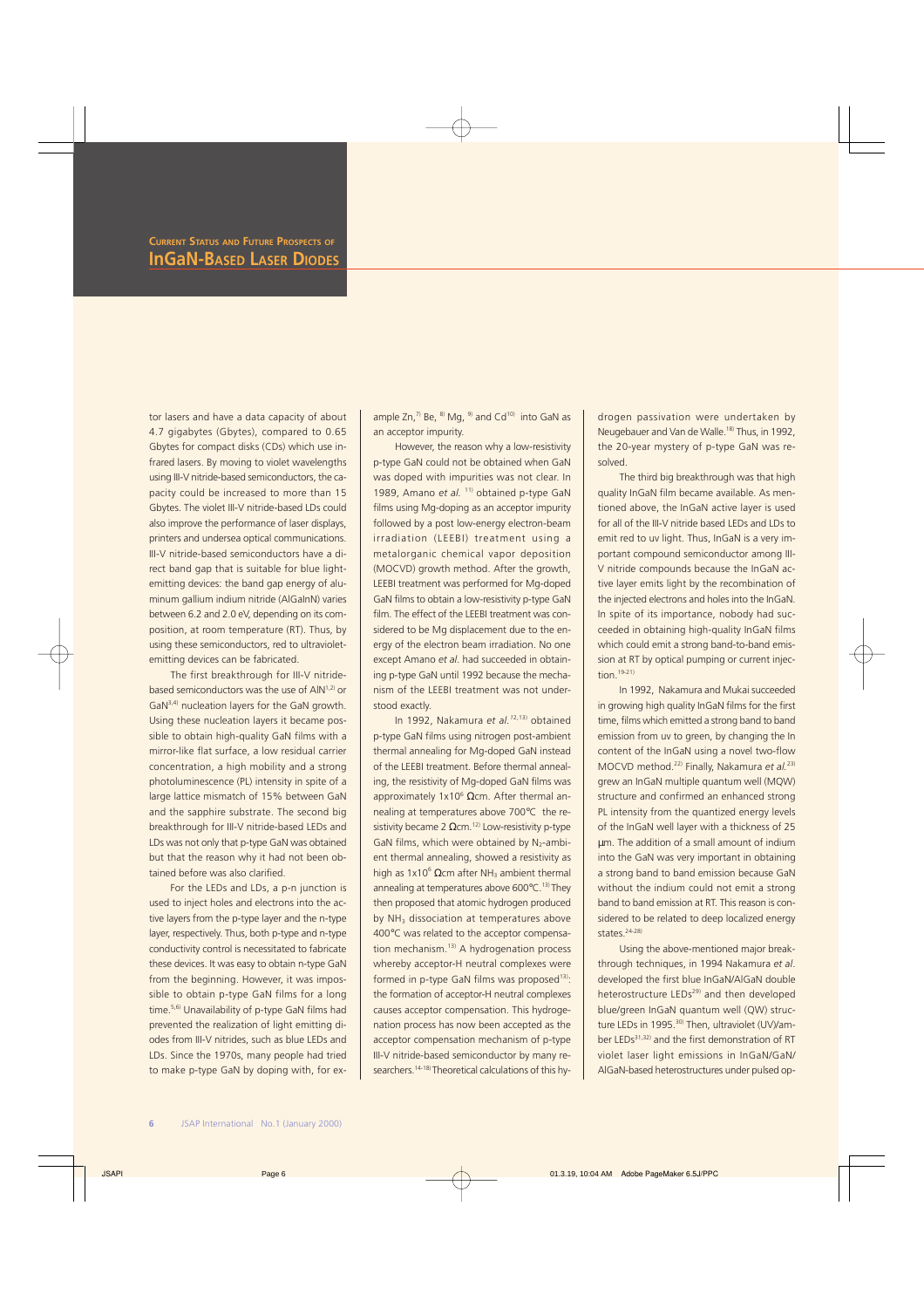tor lasers and have a data capacity of about 4.7 gigabytes (Gbytes), compared to 0.65 Gbytes for compact disks (CDs) which use infrared lasers. By moving to violet wavelengths using III-V nitride-based semiconductors, the capacity could be increased to more than 15 Gbytes. The violet III-V nitride-based LDs could also improve the performance of laser displays, printers and undersea optical communications. III-V nitride-based semiconductors have a direct band gap that is suitable for blue lightemitting devices: the band gap energy of aluminum gallium indium nitride (AlGaInN) varies between 6.2 and 2.0 eV, depending on its composition, at room temperature (RT). Thus, by using these semiconductors, red to ultravioletemitting devices can be fabricated.

The first breakthrough for III-V nitridebased semiconductors was the use of AlN<sup>1,2)</sup> or GaN3,4) nucleation layers for the GaN growth. Using these nucleation layers it became possible to obtain high-quality GaN films with a mirror-like flat surface, a low residual carrier concentration, a high mobility and a strong photoluminescence (PL) intensity in spite of a large lattice mismatch of 15% between GaN and the sapphire substrate. The second big breakthrough for III-V nitride-based LEDs and LDs was not only that p-type GaN was obtained but that the reason why it had not been obtained before was also clarified.

For the LEDs and LDs, a p-n junction is used to inject holes and electrons into the active layers from the p-type layer and the n-type layer, respectively. Thus, both p-type and n-type conductivity control is necessitated to fabricate these devices. It was easy to obtain n-type GaN from the beginning. However, it was impossible to obtain p-type GaN films for a long time.5,6) Unavailability of p-type GaN films had prevented the realization of light emitting diodes from III-V nitrides, such as blue LEDs and LDs. Since the 1970s, many people had tried to make p-type GaN by doping with, for ex-

ample Zn, $^{7}$  Be,  $^{8}$  Mg,  $^{9}$  and Cd<sup>10)</sup> into GaN as an acceptor impurity.

However, the reason why a low-resistivity p-type GaN could not be obtained when GaN was doped with impurities was not clear. In 1989, Amano et al.<sup>11)</sup> obtained p-type GaN films using Mg-doping as an acceptor impurity followed by a post low-energy electron-beam irradiation (LEEBI) treatment using a metalorganic chemical vapor deposition (MOCVD) growth method. After the growth, LEEBI treatment was performed for Mg-doped GaN films to obtain a low-resistivity p-type GaN film. The effect of the LEEBI treatment was considered to be Mg displacement due to the energy of the electron beam irradiation. No one except Amano *et al*. had succeeded in obtaining p-type GaN until 1992 because the mechanism of the LEEBI treatment was not understood exactly.

In 1992, Nakamura *et al.<sup>12,13)</sup>* obtained p-type GaN films using nitrogen post-ambient thermal annealing for Mg-doped GaN instead of the LEEBI treatment. Before thermal annealing, the resistivity of Mg-doped GaN films was approximately  $1x10<sup>6</sup>$  Ωcm. After thermal annealing at temperatures above 700°C the resistivity became 2  $\Omega$ cm.<sup>12)</sup> Low-resistivity p-type GaN films, which were obtained by  $N_2$ -ambient thermal annealing, showed a resistivity as high as  $1x10<sup>6</sup>$  Ωcm after NH<sub>3</sub> ambient thermal annealing at temperatures above 600°C.<sup>13)</sup> They then proposed that atomic hydrogen produced by NH<sub>3</sub> dissociation at temperatures above 400°C was related to the acceptor compensation mechanism.<sup>13)</sup> A hydrogenation process whereby acceptor-H neutral complexes were formed in p-type GaN films was proposed<sup>13)</sup>: the formation of acceptor-H neutral complexes causes acceptor compensation. This hydrogenation process has now been accepted as the acceptor compensation mechanism of p-type III-V nitride-based semiconductor by many researchers.<sup>14-18)</sup> Theoretical calculations of this hydrogen passivation were undertaken by Neugebauer and Van de Walle.<sup>18)</sup> Thus, in 1992, the 20-year mystery of p-type GaN was resolved.

The third big breakthrough was that high quality InGaN film became available. As mentioned above, the InGaN active layer is used for all of the III-V nitride based LEDs and LDs to emit red to uv light. Thus, InGaN is a very important compound semiconductor among III-V nitride compounds because the InGaN active layer emits light by the recombination of the injected electrons and holes into the InGaN. In spite of its importance, nobody had succeeded in obtaining high-quality InGaN films which could emit a strong band-to-band emission at RT by optical pumping or current injection. $19-21$ 

In 1992, Nakamura and Mukai succeeded in growing high quality InGaN films for the first time, films which emitted a strong band to band emission from uv to green, by changing the In content of the InGaN using a novel two-flow MOCVD method.22) Finally, Nakamura *et al.*23) grew an InGaN multiple quantum well (MQW) structure and confirmed an enhanced strong PL intensity from the quantized energy levels of the InGaN well layer with a thickness of 25 µm. The addition of a small amount of indium into the GaN was very important in obtaining a strong band to band emission because GaN without the indium could not emit a strong band to band emission at RT. This reason is considered to be related to deep localized energy states.<sup>24-28)</sup>

Using the above-mentioned major breakthrough techniques, in 1994 Nakamura *et al*. developed the first blue InGaN/AlGaN double heterostructure LEDs<sup>29)</sup> and then developed blue/green InGaN quantum well (QW) structure LEDs in 1995.<sup>30)</sup> Then, ultraviolet (UV)/amber LEDs31,32) and the first demonstration of RT violet laser light emissions in InGaN/GaN/ AlGaN-based heterostructures under pulsed op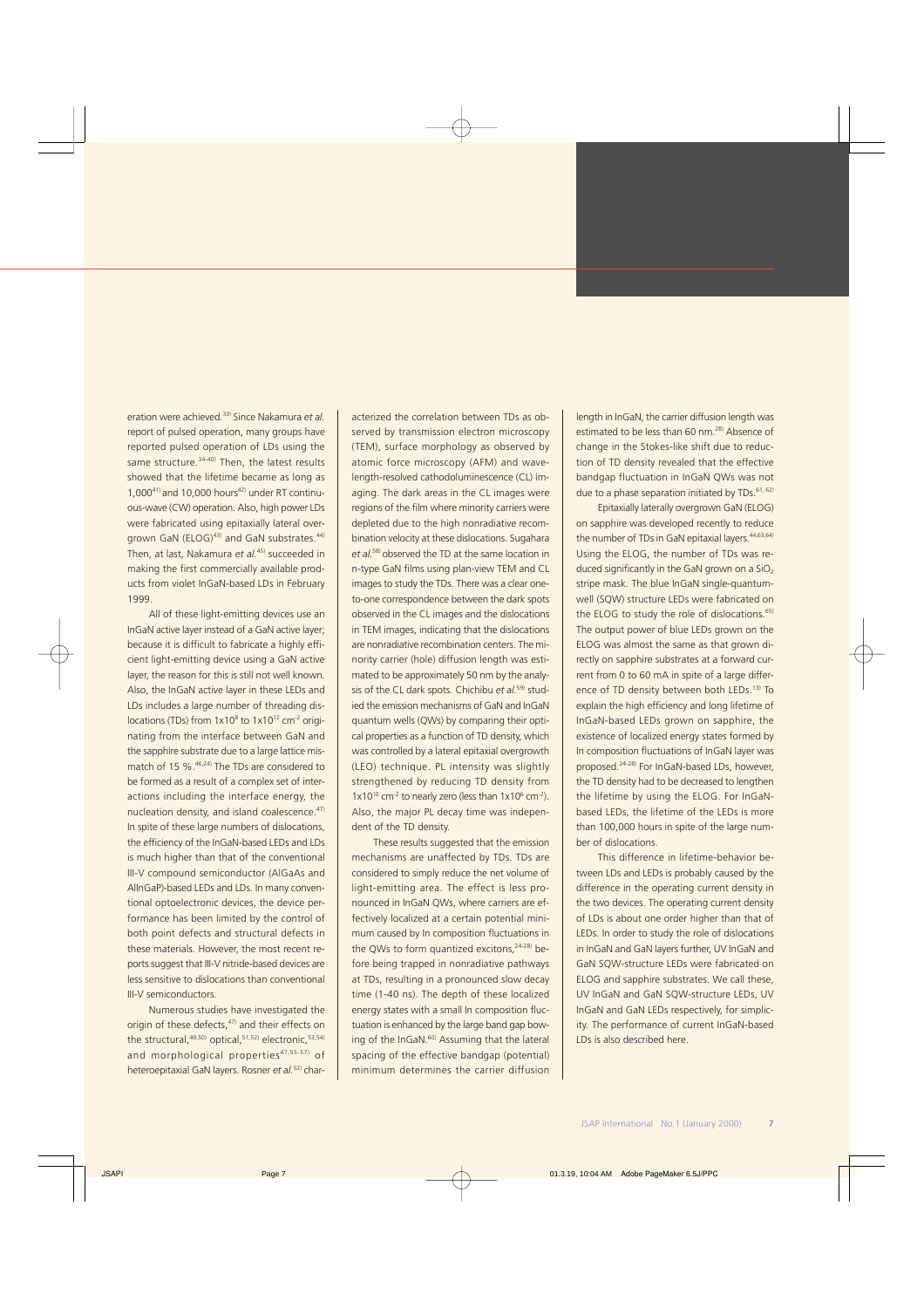eration were achieved.33) Since Nakamura *et al.* report of pulsed operation, many groups have reported pulsed operation of LDs using the same structure.<sup>34-40)</sup> Then, the latest results showed that the lifetime became as long as  $1,000^{41}$  and 10,000 hours<sup>42)</sup> under RT continuous-wave (CW) operation. Also, high power LDs were fabricated using epitaxially lateral overgrown GaN (ELOG)<sup>43)</sup> and GaN substrates.<sup>44)</sup> Then, at last, Nakamura *et al.*45) succeeded in making the first commercially available products from violet InGaN-based LDs in February 1999.

All of these light-emitting devices use an InGaN active layer instead of a GaN active layer; because it is difficult to fabricate a highly efficient light-emitting device using a GaN active layer, the reason for this is still not well known. Also, the InGaN active layer in these LEDs and LDs includes a large number of threading dislocations (TDs) from  $1x10^8$  to  $1x10^{12}$  cm<sup>-2</sup> originating from the interface between GaN and the sapphire substrate due to a large lattice mismatch of 15 %.<sup>46,24)</sup> The TDs are considered to be formed as a result of a complex set of interactions including the interface energy, the nucleation density, and island coalescence.<sup>47)</sup> In spite of these large numbers of dislocations, the efficiency of the InGaN-based LEDs and LDs is much higher than that of the conventional III-V compound semiconductor (AlGaAs and AlInGaP)-based LEDs and LDs. In many conventional optoelectronic devices, the device performance has been limited by the control of both point defects and structural defects in these materials. However, the most recent reports suggest that III-V nitride-based devices are less sensitive to dislocations than conventional III-V semiconductors.

Numerous studies have investigated the origin of these defects,<sup>47)</sup> and their effects on the structural, $49,50)$  optical, $51,52)$  electronic, $53,54)$ and morphological properties<sup>47,55-57)</sup> of heteroepitaxial GaN layers. Rosner *et al.*52) characterized the correlation between TDs as observed by transmission electron microscopy (TEM), surface morphology as observed by atomic force microscopy (AFM) and wavelength-resolved cathodoluminescence (CL) imaging. The dark areas in the CL images were regions of the film where minority carriers were depleted due to the high nonradiative recombination velocity at these dislocations. Sugahara *et al.*58) observed the TD at the same location in n-type GaN films using plan-view TEM and CL images to study the TDs. There was a clear oneto-one correspondence between the dark spots observed in the CL images and the dislocations in TEM images, indicating that the dislocations are nonradiative recombination centers. The minority carrier (hole) diffusion length was estimated to be approximately 50 nm by the analysis of the CL dark spots. Chichibu *et al.*59) studied the emission mechanisms of GaN and InGaN quantum wells (QWs) by comparing their optical properties as a function of TD density, which was controlled by a lateral epitaxial overgrowth (LEO) technique. PL intensity was slightly strengthened by reducing TD density from  $1x10^{10}$  cm<sup>-2</sup> to nearly zero (less than  $1x10^6$  cm<sup>-2</sup>). Also, the major PL decay time was independent of the TD density.

These results suggested that the emission mechanisms are unaffected by TDs. TDs are considered to simply reduce the net volume of light-emitting area. The effect is less pronounced in InGaN QWs, where carriers are effectively localized at a certain potential minimum caused by In composition fluctuations in the QWs to form quantized excitons,<sup>24-28)</sup> before being trapped in nonradiative pathways at TDs, resulting in a pronounced slow decay time (1-40 ns). The depth of these localized energy states with a small In composition fluctuation is enhanced by the large band gap bowing of the InGaN.60) Assuming that the lateral spacing of the effective bandgap (potential) minimum determines the carrier diffusion

length in InGaN, the carrier diffusion length was estimated to be less than 60 nm.<sup>28)</sup> Absence of change in the Stokes-like shift due to reduction of TD density revealed that the effective bandgap fluctuation in InGaN QWs was not due to a phase separation initiated by TDs.<sup>61, 62)</sup>

Epitaxially laterally overgrown GaN (ELOG) on sapphire was developed recently to reduce the number of TDs in GaN epitaxial layers.<sup>44,63,64)</sup> Using the ELOG, the number of TDs was reduced significantly in the GaN grown on a  $SiO<sub>2</sub>$ stripe mask. The blue InGaN single-quantumwell (SQW) structure LEDs were fabricated on the ELOG to study the role of dislocations.<sup>65)</sup> The output power of blue LEDs grown on the ELOG was almost the same as that grown directly on sapphire substrates at a forward current from 0 to 60 mA in spite of a large difference of TD density between both LEDs.<sup>13)</sup> To explain the high efficiency and long lifetime of InGaN-based LEDs grown on sapphire, the existence of localized energy states formed by In composition fluctuations of InGaN layer was proposed.24-28) For InGaN-based LDs, however, the TD density had to be decreased to lengthen the lifetime by using the ELOG. For InGaNbased LEDs, the lifetime of the LEDs is more than 100,000 hours in spite of the large number of dislocations.

This difference in lifetime-behavior between LDs and LEDs is probably caused by the difference in the operating current density in the two devices. The operating current density of LDs is about one order higher than that of LEDs. In order to study the role of dislocations in InGaN and GaN layers further, UV InGaN and GaN SQW-structure LEDs were fabricated on ELOG and sapphire substrates. We call these, UV InGaN and GaN SQW-structure LEDs, UV InGaN and GaN LEDs respectively, for simplicity. The performance of current InGaN-based LDs is also described here.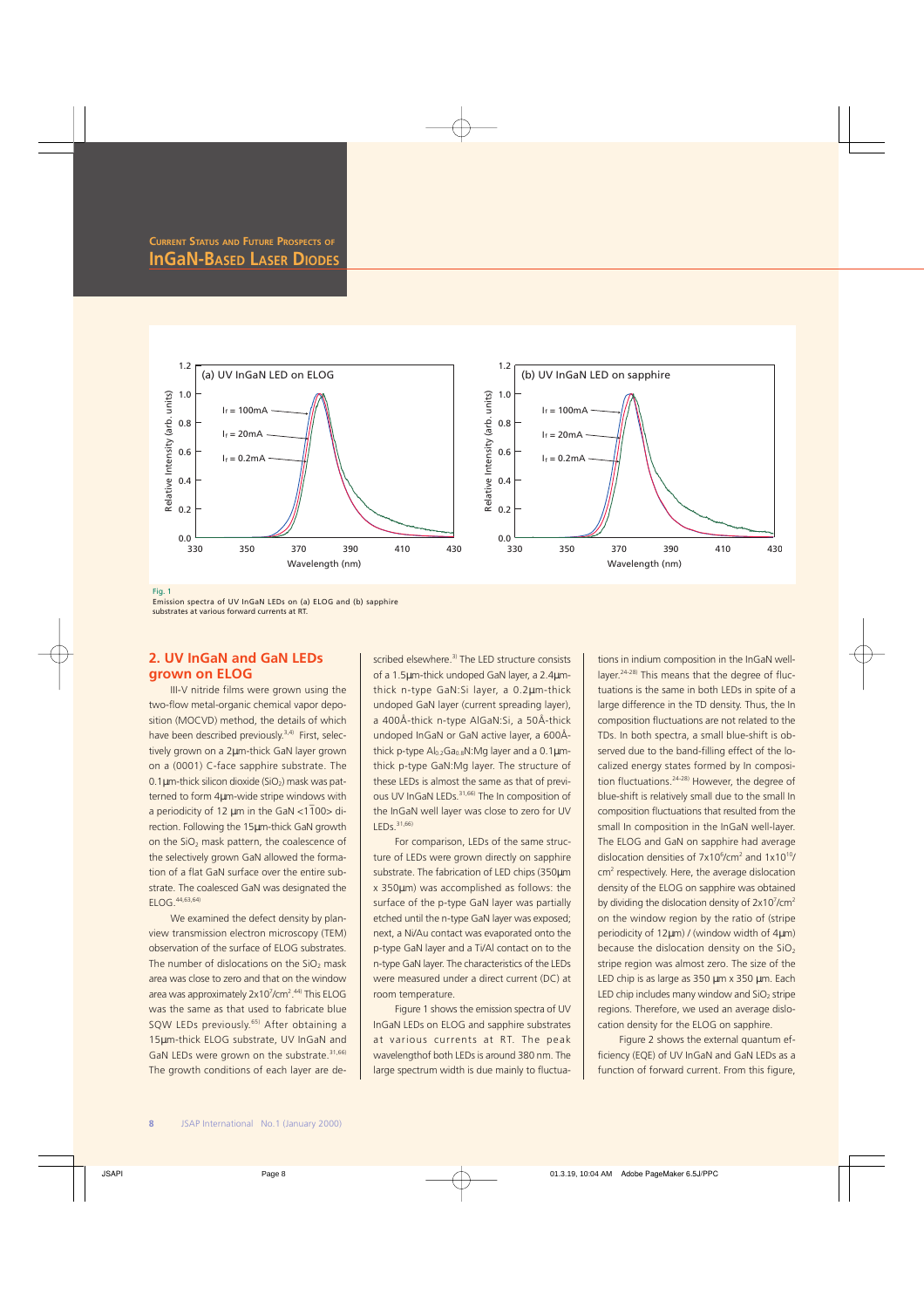

Fig. 1

Emission spectra of UV InGaN LEDs on (a) ELOG and (b) sapphire substrates at various forward currents at RT.

## **2. UV InGaN and GaN LEDs grown on ELOG**

III-V nitride films were grown using the two-flow metal-organic chemical vapor deposition (MOCVD) method, the details of which have been described previously.<sup>3,4)</sup> First, selectively grown on a 2µm-thick GaN layer grown on a (0001) C-face sapphire substrate. The  $0.1 \mu$ m-thick silicon dioxide (SiO<sub>2</sub>) mask was patterned to form 4µm-wide stripe windows with \_ a periodicity of 12 µm in the GaN <1 100> direction. Following the 15µm-thick GaN growth on the SiO<sub>2</sub> mask pattern, the coalescence of the selectively grown GaN allowed the formation of a flat GaN surface over the entire substrate. The coalesced GaN was designated the ELOG.44,63,64)

We examined the defect density by planview transmission electron microscopy (TEM) observation of the surface of ELOG substrates. The number of dislocations on the  $SiO<sub>2</sub>$  mask area was close to zero and that on the window area was approximately 2x10<sup>7</sup>/cm<sup>2</sup>.<sup>44)</sup> This ELOG was the same as that used to fabricate blue SQW LEDs previously.<sup>65)</sup> After obtaining a 15µm-thick ELOG substrate, UV InGaN and GaN LEDs were grown on the substrate.<sup>31,66)</sup> The growth conditions of each layer are described elsewhere.<sup>3)</sup> The LED structure consists of a 1.5µm-thick undoped GaN layer, a 2.4µmthick n-type GaN:Si layer, a 0.2µm-thick undoped GaN layer (current spreading layer), a 400Å-thick n-type AlGaN:Si, a 50Å-thick undoped InGaN or GaN active layer, a 600Åthick p-type  $Al<sub>0.2</sub>Ga<sub>0.8</sub>N:Mg$  layer and a 0.1 $µm$ thick p-type GaN:Mg layer. The structure of these LEDs is almost the same as that of previous UV InGaN LEDs.<sup>31,66)</sup> The In composition of the InGaN well layer was close to zero for UV LEDs.31,66)

For comparison, LEDs of the same structure of LEDs were grown directly on sapphire substrate. The fabrication of LED chips (350µm x 350µm) was accomplished as follows: the surface of the p-type GaN layer was partially etched until the n-type GaN layer was exposed; next, a Ni/Au contact was evaporated onto the p-type GaN layer and a Ti/Al contact on to the n-type GaN layer. The characteristics of the LEDs were measured under a direct current (DC) at room temperature.

Figure 1 shows the emission spectra of UV InGaN LEDs on ELOG and sapphire substrates at various currents at RT. The peak wavelengthof both LEDs is around 380 nm. The large spectrum width is due mainly to fluctuations in indium composition in the InGaN welllayer.24-28) This means that the degree of fluctuations is the same in both LEDs in spite of a large difference in the TD density. Thus, the In composition fluctuations are not related to the TDs. In both spectra, a small blue-shift is observed due to the band-filling effect of the localized energy states formed by In composition fluctuations.24-28) However, the degree of blue-shift is relatively small due to the small In composition fluctuations that resulted from the small In composition in the InGaN well-layer. The ELOG and GaN on sapphire had average dislocation densities of  $7x10^6$ /cm<sup>2</sup> and  $1x10^{10}$ / cm<sup>2</sup> respectively. Here, the average dislocation density of the ELOG on sapphire was obtained by dividing the dislocation density of  $2x10^7$ /cm<sup>2</sup> on the window region by the ratio of (stripe periodicity of 12µm) / (window width of 4µm) because the dislocation density on the  $SiO<sub>2</sub>$ stripe region was almost zero. The size of the LED chip is as large as 350 µm x 350 µm. Each LED chip includes many window and  $SiO<sub>2</sub>$  stripe regions. Therefore, we used an average dislocation density for the ELOG on sapphire.

Figure 2 shows the external quantum efficiency (EQE) of UV InGaN and GaN LEDs as a function of forward current. From this figure,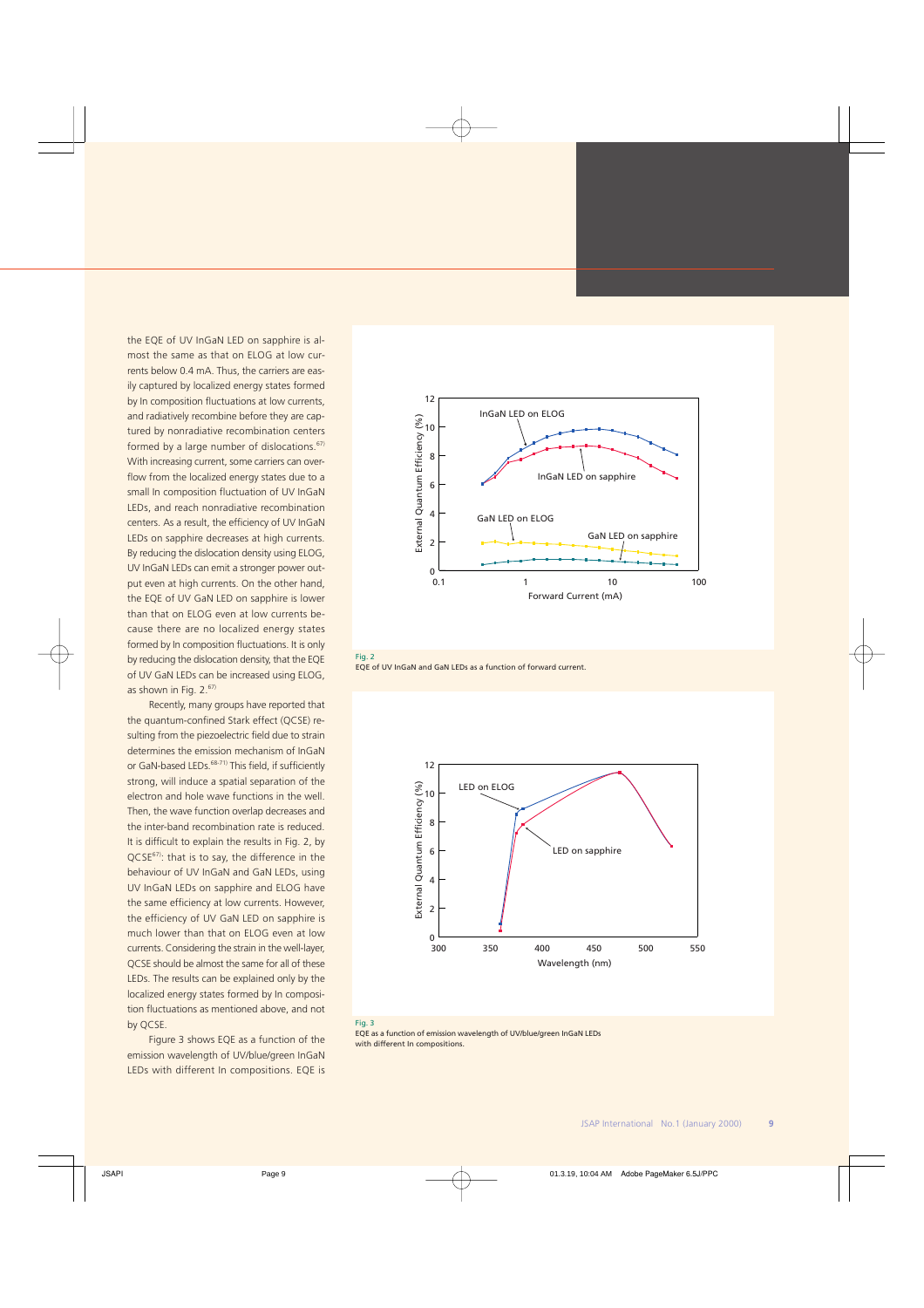the EQE of UV InGaN LED on sapphire is almost the same as that on ELOG at low currents below 0.4 mA. Thus, the carriers are easily captured by localized energy states formed by In composition fluctuations at low currents, and radiatively recombine before they are captured by nonradiative recombination centers formed by a large number of dislocations.<sup>67)</sup> With increasing current, some carriers can overflow from the localized energy states due to a small In composition fluctuation of UV InGaN LEDs, and reach nonradiative recombination centers. As a result, the efficiency of UV InGaN LEDs on sapphire decreases at high currents. By reducing the dislocation density using ELOG, UV InGaN LEDs can emit a stronger power output even at high currents. On the other hand, the EQE of UV GaN LED on sapphire is lower than that on ELOG even at low currents because there are no localized energy states formed by In composition fluctuations. It is only by reducing the dislocation density, that the EQE of UV GaN LEDs can be increased using ELOG, as shown in Fig.  $2.67$ 

Recently, many groups have reported that the quantum-confined Stark effect (QCSE) resulting from the piezoelectric field due to strain determines the emission mechanism of InGaN or GaN-based LEDs.<sup>68-71)</sup> This field, if sufficiently strong, will induce a spatial separation of the electron and hole wave functions in the well. Then, the wave function overlap decreases and the inter-band recombination rate is reduced. It is difficult to explain the results in Fig. 2, by QCSE<sup>67)</sup>: that is to say, the difference in the behaviour of UV InGaN and GaN LEDs, using UV InGaN LEDs on sapphire and ELOG have the same efficiency at low currents. However, the efficiency of UV GaN LED on sapphire is much lower than that on ELOG even at low currents. Considering the strain in the well-layer, QCSE should be almost the same for all of these LEDs. The results can be explained only by the localized energy states formed by In composition fluctuations as mentioned above, and not by QCSE.

Figure 3 shows EQE as a function of the emission wavelength of UV/blue/green InGaN LEDs with different In compositions. EQE is







#### Fig. 3

EQE as a function of emission wavelength of UV/blue/green InGaN LEDs with different In compositions.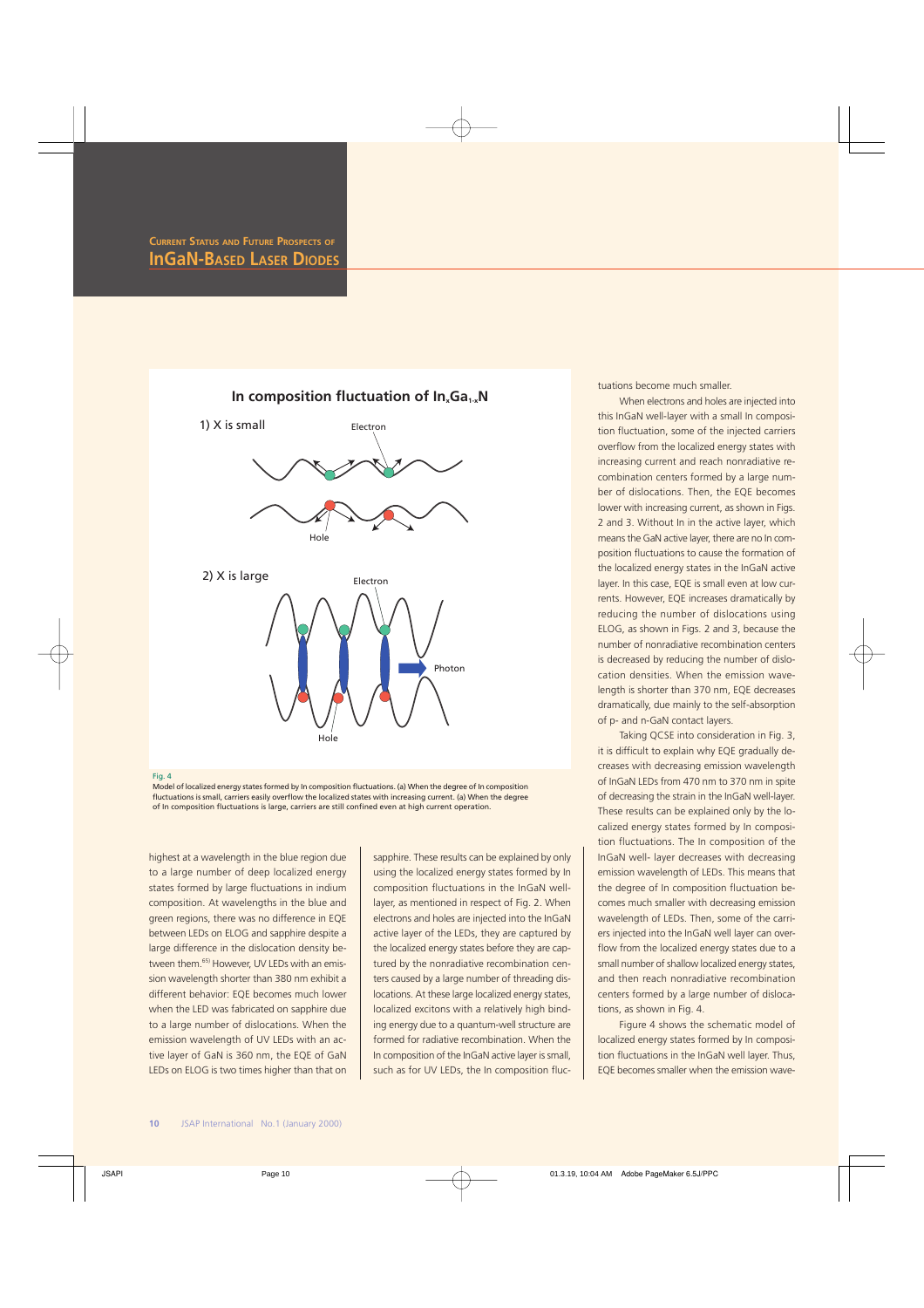

#### Fig. 4

Model of localized energy states formed by In composition fluctuations. (a) When the degree of In composition fluctuations is small, carriers easily overflow the localized states with increasing current. (a) When the degree of In composition fluctuations is large, carriers are still confined even at high current operation.

highest at a wavelength in the blue region due to a large number of deep localized energy states formed by large fluctuations in indium composition. At wavelengths in the blue and green regions, there was no difference in EQE between LEDs on ELOG and sapphire despite a large difference in the dislocation density between them.<sup>65)</sup> However, UV LEDs with an emission wavelength shorter than 380 nm exhibit a different behavior: EQE becomes much lower when the LED was fabricated on sapphire due to a large number of dislocations. When the emission wavelength of UV LEDs with an active layer of GaN is 360 nm, the EQE of GaN LEDs on ELOG is two times higher than that on

sapphire. These results can be explained by only using the localized energy states formed by In composition fluctuations in the InGaN welllayer, as mentioned in respect of Fig. 2. When electrons and holes are injected into the InGaN active layer of the LEDs, they are captured by the localized energy states before they are captured by the nonradiative recombination centers caused by a large number of threading dislocations. At these large localized energy states, localized excitons with a relatively high binding energy due to a quantum-well structure are formed for radiative recombination. When the In composition of the InGaN active layer is small, such as for UV LEDs, the In composition fluctuations become much smaller.

When electrons and holes are injected into this InGaN well-layer with a small In composition fluctuation, some of the injected carriers overflow from the localized energy states with increasing current and reach nonradiative recombination centers formed by a large number of dislocations. Then, the EQE becomes lower with increasing current, as shown in Figs. 2 and 3. Without In in the active layer, which means the GaN active layer, there are no In composition fluctuations to cause the formation of the localized energy states in the InGaN active layer. In this case, EQE is small even at low currents. However, EQE increases dramatically by reducing the number of dislocations using ELOG, as shown in Figs. 2 and 3, because the number of nonradiative recombination centers is decreased by reducing the number of dislocation densities. When the emission wavelength is shorter than 370 nm, EQE decreases dramatically, due mainly to the self-absorption of p- and n-GaN contact layers.

Taking QCSE into consideration in Fig. 3, it is difficult to explain why EQE gradually decreases with decreasing emission wavelength of InGaN LEDs from 470 nm to 370 nm in spite of decreasing the strain in the InGaN well-layer. These results can be explained only by the localized energy states formed by In composition fluctuations. The In composition of the InGaN well- layer decreases with decreasing emission wavelength of LEDs. This means that the degree of In composition fluctuation becomes much smaller with decreasing emission wavelength of LEDs. Then, some of the carriers injected into the InGaN well layer can overflow from the localized energy states due to a small number of shallow localized energy states, and then reach nonradiative recombination centers formed by a large number of dislocations, as shown in Fig. 4.

Figure 4 shows the schematic model of localized energy states formed by In composition fluctuations in the InGaN well layer. Thus, EQE becomes smaller when the emission wave-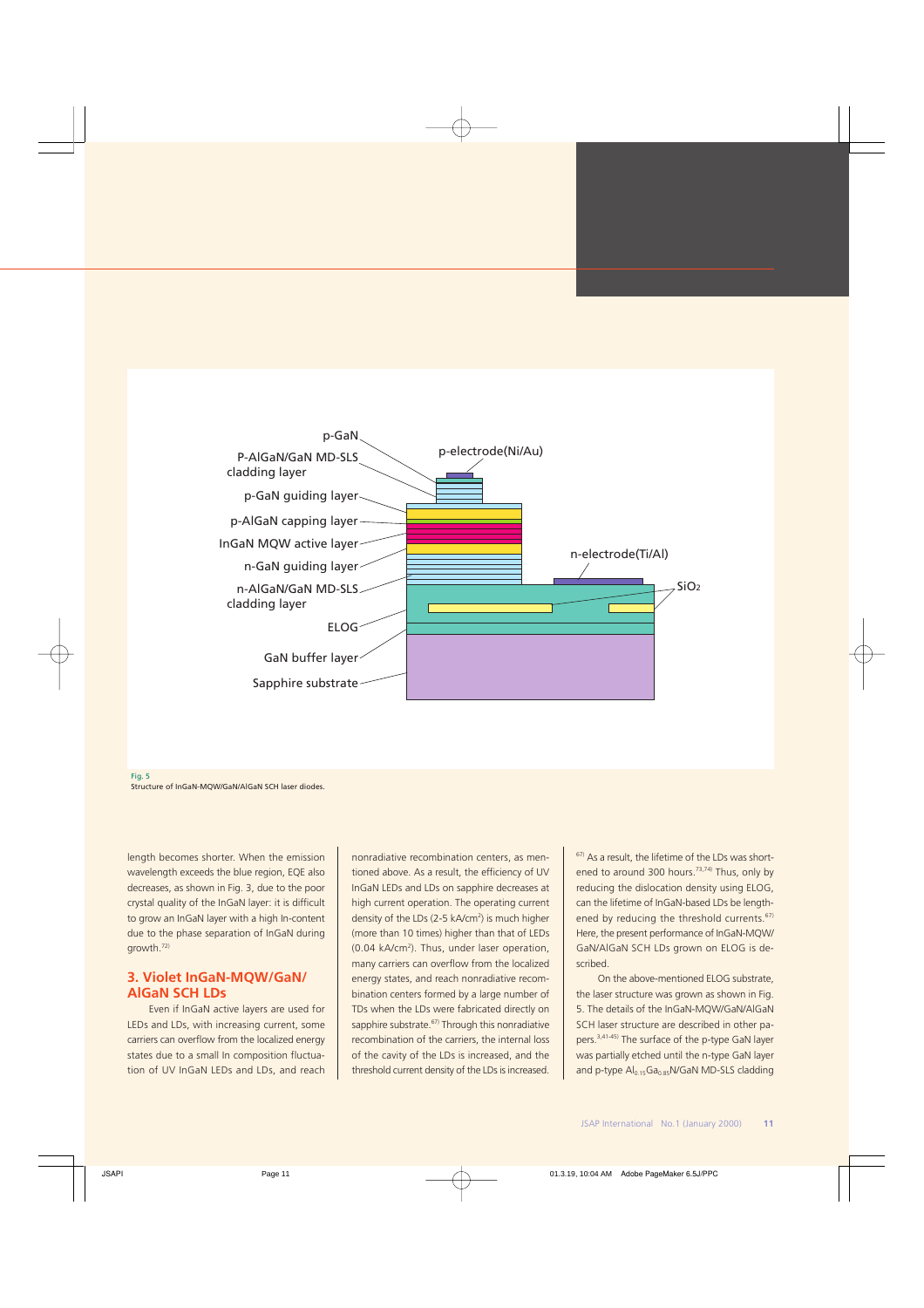



length becomes shorter. When the emission wavelength exceeds the blue region, EQE also decreases, as shown in Fig. 3, due to the poor crystal quality of the InGaN layer: it is difficult to grow an InGaN layer with a high In-content due to the phase separation of InGaN during growth.72)

## **3. Violet InGaN-MQW/GaN/ AlGaN SCH LDs**

Even if InGaN active layers are used for LEDs and LDs, with increasing current, some carriers can overflow from the localized energy states due to a small In composition fluctuation of UV InGaN LEDs and LDs, and reach nonradiative recombination centers, as mentioned above. As a result, the efficiency of UV InGaN LEDs and LDs on sapphire decreases at high current operation. The operating current density of the LDs (2-5 kA/cm<sup>2</sup>) is much higher (more than 10 times) higher than that of LEDs (0.04 kA/cm<sup>2</sup>). Thus, under laser operation, many carriers can overflow from the localized energy states, and reach nonradiative recombination centers formed by a large number of TDs when the LDs were fabricated directly on sapphire substrate.<sup>67</sup> Through this nonradiative recombination of the carriers, the internal loss of the cavity of the LDs is increased, and the threshold current density of the LDs is increased.

 $67$ ) As a result, the lifetime of the LDs was shortened to around 300 hours.<sup>73,74)</sup> Thus, only by reducing the dislocation density using ELOG, can the lifetime of InGaN-based LDs be lengthened by reducing the threshold currents.<sup>67)</sup> Here, the present performance of InGaN-MQW/ GaN/AlGaN SCH LDs grown on ELOG is described.

On the above-mentioned ELOG substrate the laser structure was grown as shown in Fig. 5. The details of the InGaN-MQW/GaN/AlGaN SCH laser structure are described in other papers.3,41-45) The surface of the p-type GaN layer was partially etched until the n-type GaN layer and p-type Al0.15Ga0.85N/GaN MD-SLS cladding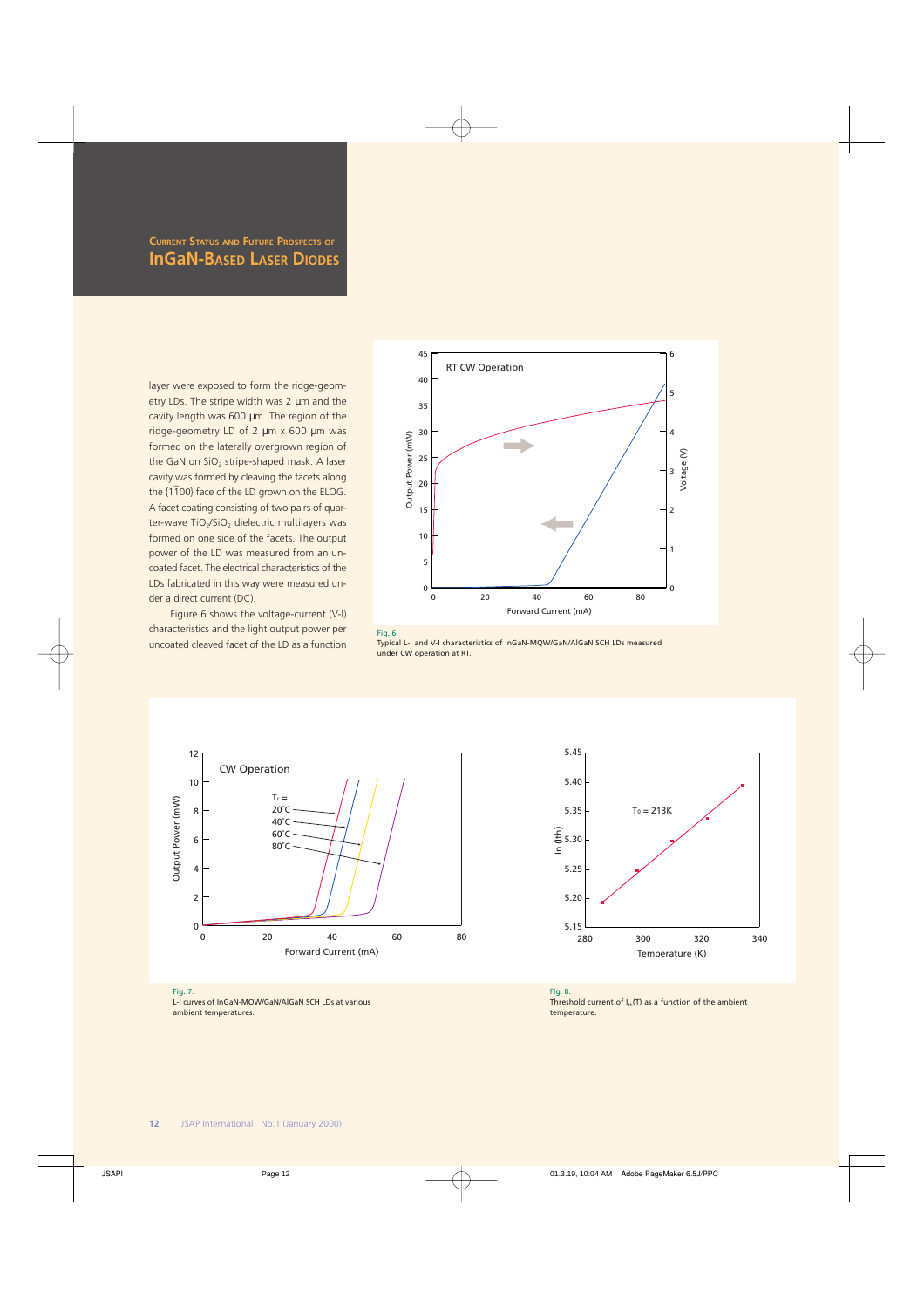layer were exposed to form the ridge-geometry LDs. The stripe width was 2 µm and the cavity length was 600 µm. The region of the ridge-geometry LD of 2 µm x 600 µm was formed on the laterally overgrown region of the GaN on  $SiO<sub>2</sub>$  stripe-shaped mask. A laser cavity was formed by cleaving the facets along \_ the {1 100} face of the LD grown on the ELOG. A facet coating consisting of two pairs of quarter-wave TiO<sub>2</sub>/SiO<sub>2</sub> dielectric multilayers was formed on one side of the facets. The output power of the LD was measured from an uncoated facet. The electrical characteristics of the LDs fabricated in this way were measured under a direct current (DC).

Figure 6 shows the voltage-current (V-I) characteristics and the light output power per uncoated cleaved facet of the LD as a function



Typical L-I and V-I characteristics of InGaN-MQW/GaN/AlGaN SCH LDs measured under CW operation at RT.





L-I curves of InGaN-MQW/GaN/AlGaN SCH LDs at various ambient temperatures.



Fig. 8. Threshold current of  $I_{th}(T)$  as a function of the ambient temperature.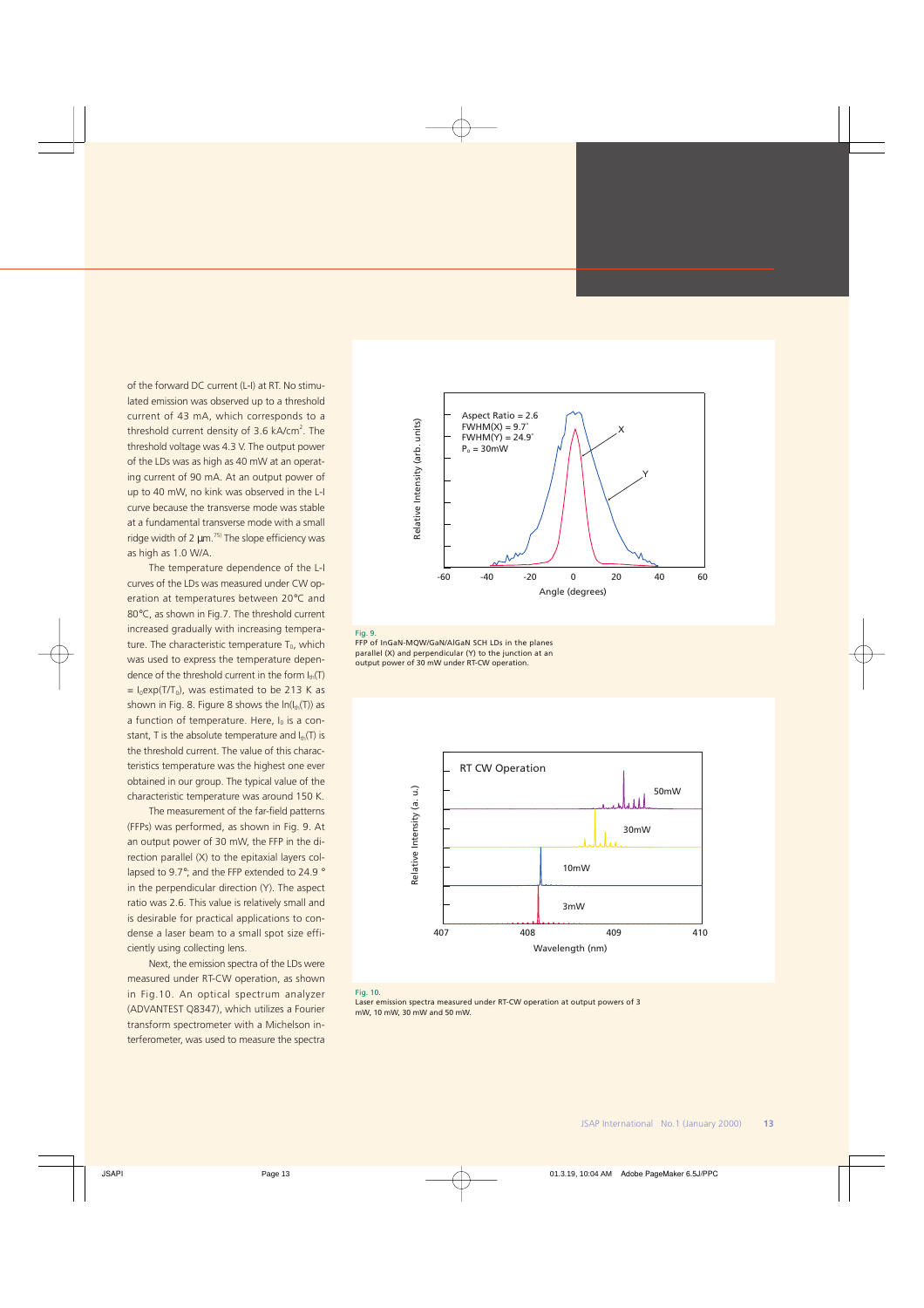of the forward DC current (L-I) at RT. No stimulated emission was observed up to a threshold current of 43 mA, which corresponds to a threshold current density of 3.6 kA/cm<sup>2</sup>. The threshold voltage was 4.3 V. The output power of the LDs was as high as 40 mW at an operating current of 90 mA. At an output power of up to 40 mW, no kink was observed in the L-I curve because the transverse mode was stable at a fundamental transverse mode with a small ridge width of 2  $\mu$ m.<sup>75)</sup> The slope efficiency was as high as 1.0 W/A.

The temperature dependence of the L-I curves of the LDs was measured under CW operation at temperatures between 20°C and 80°C, as shown in Fig.7. The threshold current increased gradually with increasing temperature. The characteristic temperature  $T_0$ , which was used to express the temperature dependence of the threshold current in the form  $I_{th}(T)$  $= I_0 exp(T/T_0)$ , was estimated to be 213 K as shown in Fig. 8. Figure 8 shows the  $ln(l_{th}(T))$  as a function of temperature. Here,  $I_0$  is a constant, T is the absolute temperature and  $I_{\text{th}}(T)$  is the threshold current. The value of this characteristics temperature was the highest one ever obtained in our group. The typical value of the characteristic temperature was around 150 K.

The measurement of the far-field patterns (FFPs) was performed, as shown in Fig. 9. At an output power of 30 mW, the FFP in the direction parallel (X) to the epitaxial layers collapsed to 9.7°; and the FFP extended to 24.9 ° in the perpendicular direction (Y). The aspect ratio was 2.6. This value is relatively small and is desirable for practical applications to condense a laser beam to a small spot size efficiently using collecting lens.

Next, the emission spectra of the LDs were measured under RT-CW operation, as shown in Fig.10. An optical spectrum analyzer (ADVANTEST Q8347), which utilizes a Fourier transform spectrometer with a Michelson interferometer, was used to measure the spectra



#### Fig. 9.

FFP of InGaN-MQW/GaN/AlGaN SCH LDs in the planes parallel (X) and perpendicular (Y) to the junction at an output power of 30 mW under RT-CW operation.



#### Fig. 10.

Laser emission spectra measured under RT-CW operation at output powers of 3 mW, 10 mW, 30 mW and 50 mW.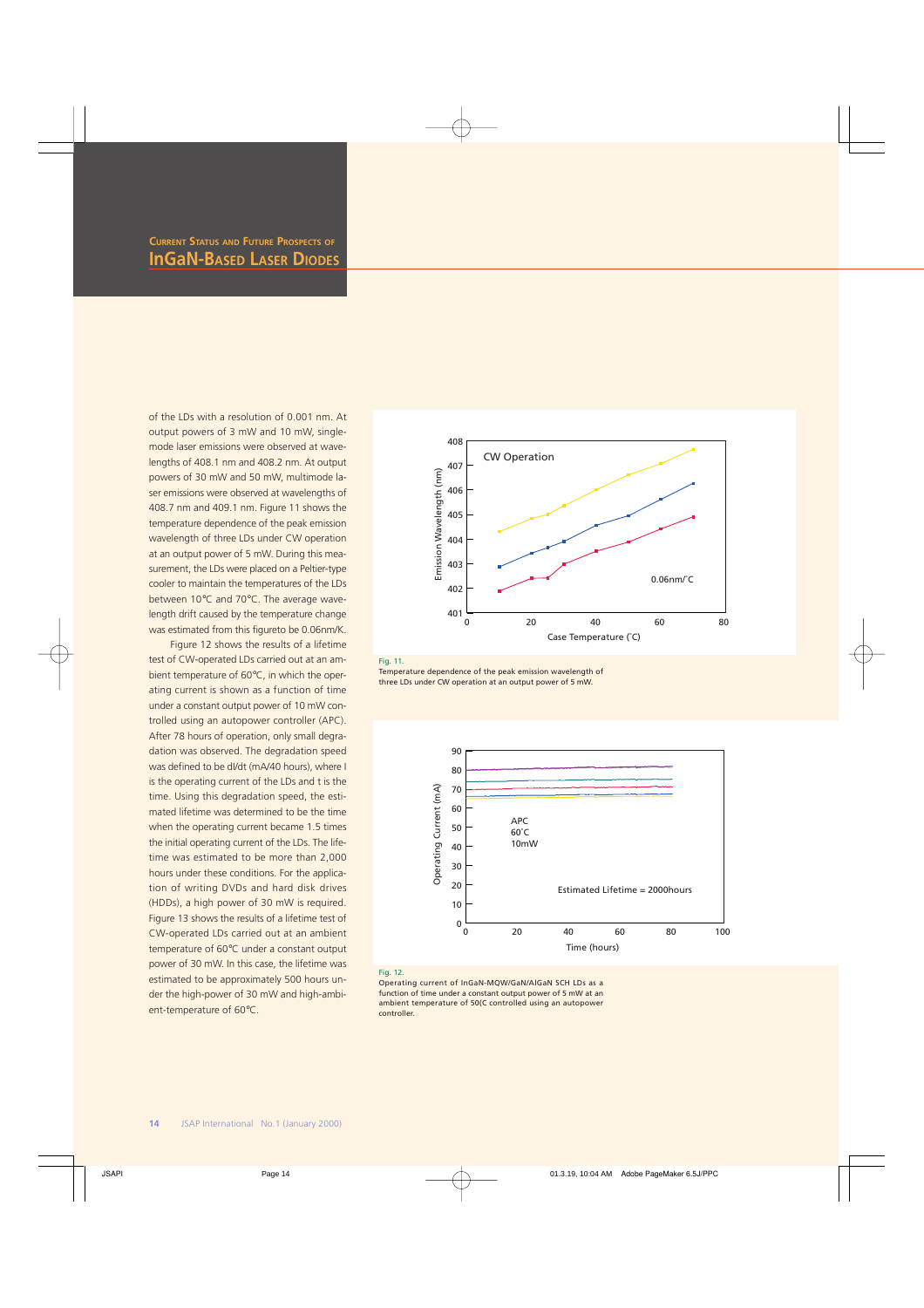of the LDs with a resolution of 0.001 nm. At output powers of 3 mW and 10 mW, singlemode laser emissions were observed at wavelengths of 408.1 nm and 408.2 nm. At output powers of 30 mW and 50 mW, multimode laser emissions were observed at wavelengths of 408.7 nm and 409.1 nm. Figure 11 shows the temperature dependence of the peak emission wavelength of three LDs under CW operation at an output power of 5 mW. During this measurement, the LDs were placed on a Peltier-type cooler to maintain the temperatures of the LDs between 10°C and 70°C. The average wavelength drift caused by the temperature change was estimated from this figureto be 0.06nm/K.

Figure 12 shows the results of a lifetime test of CW-operated LDs carried out at an ambient temperature of 60°C, in which the operating current is shown as a function of time under a constant output power of 10 mW controlled using an autopower controller (APC). After 78 hours of operation, only small degradation was observed. The degradation speed was defined to be dI/dt (mA/40 hours), where I is the operating current of the LDs and t is the time. Using this degradation speed, the estimated lifetime was determined to be the time when the operating current became 1.5 times the initial operating current of the LDs. The lifetime was estimated to be more than 2,000 hours under these conditions. For the application of writing DVDs and hard disk drives (HDDs), a high power of 30 mW is required. Figure 13 shows the results of a lifetime test of CW-operated LDs carried out at an ambient temperature of 60°C under a constant output power of 30 mW. In this case, the lifetime was estimated to be approximately 500 hours under the high-power of 30 mW and high-ambient-temperature of 60°C.





Temperature dependence of the peak emission wavelength of three LDs under CW operation at an output power of 5 mW.



#### Fig. 12.

Operating current of InGaN-MQW/GaN/AlGaN SCH LDs as a function of time under a constant output power of 5 mW at an ambient temperature of 50(C controlled using an autopower controller.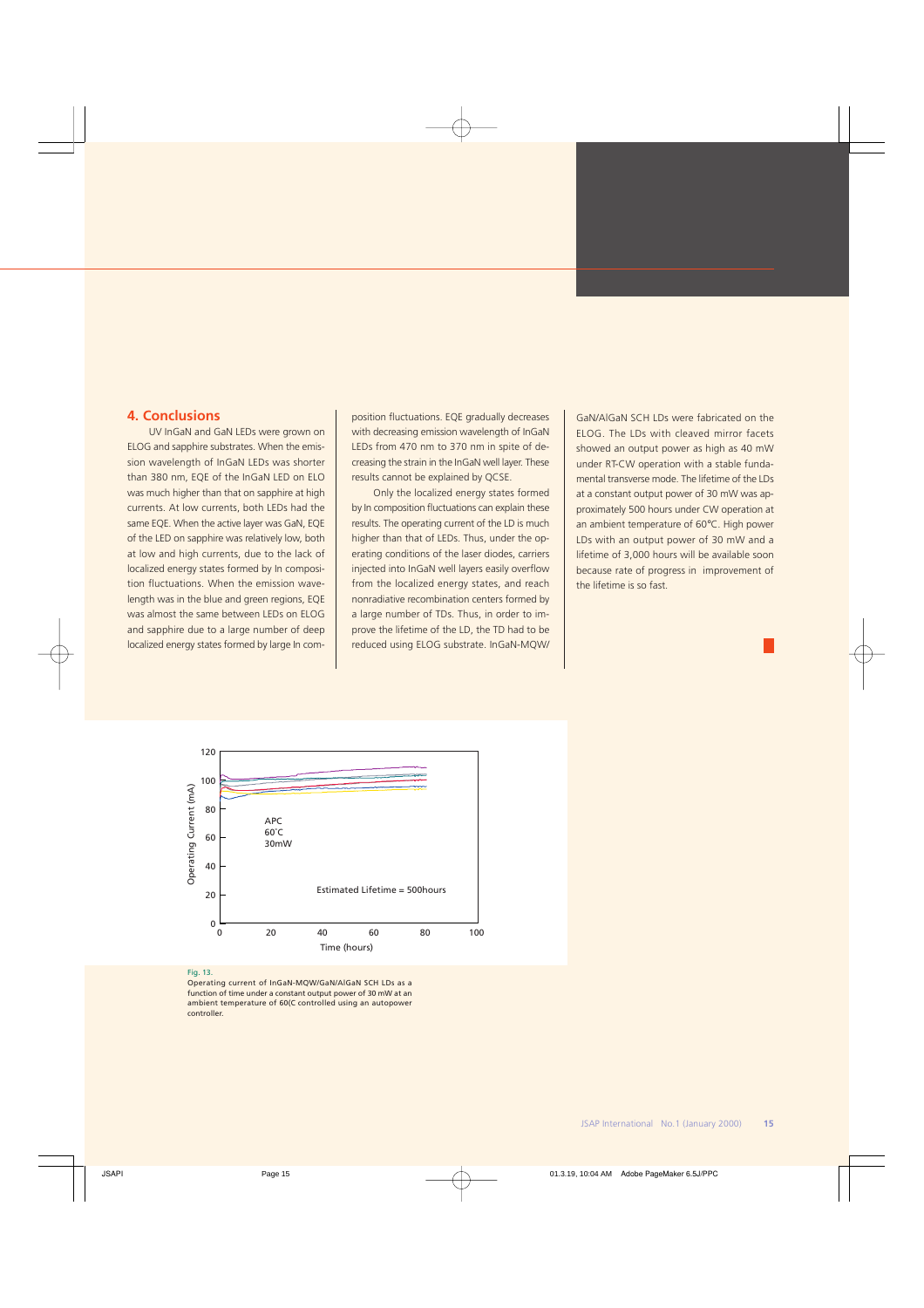## **4. Conclusions**

UV InGaN and GaN LEDs were grown on ELOG and sapphire substrates. When the emission wavelength of InGaN LEDs was shorter than 380 nm, EQE of the InGaN LED on ELO was much higher than that on sapphire at high currents. At low currents, both LEDs had the same EQE. When the active layer was GaN, EQE of the LED on sapphire was relatively low, both at low and high currents, due to the lack of localized energy states formed by In composition fluctuations. When the emission wavelength was in the blue and green regions, EQE was almost the same between LEDs on ELOG and sapphire due to a large number of deep localized energy states formed by large In composition fluctuations. EQE gradually decreases with decreasing emission wavelength of InGaN LEDs from 470 nm to 370 nm in spite of decreasing the strain in the InGaN well layer. These results cannot be explained by QCSE.

Only the localized energy states formed by In composition fluctuations can explain these results. The operating current of the LD is much higher than that of LEDs. Thus, under the operating conditions of the laser diodes, carriers injected into InGaN well layers easily overflow from the localized energy states, and reach nonradiative recombination centers formed by a large number of TDs. Thus, in order to improve the lifetime of the LD, the TD had to be reduced using ELOG substrate. InGaN-MQW/ GaN/AlGaN SCH LDs were fabricated on the ELOG. The LDs with cleaved mirror facets showed an output power as high as 40 mW under RT-CW operation with a stable fundamental transverse mode. The lifetime of the LDs at a constant output power of 30 mW was approximately 500 hours under CW operation at an ambient temperature of 60°C. High power LDs with an output power of 30 mW and a lifetime of 3,000 hours will be available soon because rate of progress in improvement of the lifetime is so fast.



#### Fig. 13.

Operating current of InGaN-MQW/GaN/AlGaN SCH LDs as a function of time under a constant output power of 30 mW at an ambient temperature of 60(C controlled using an autopower controller.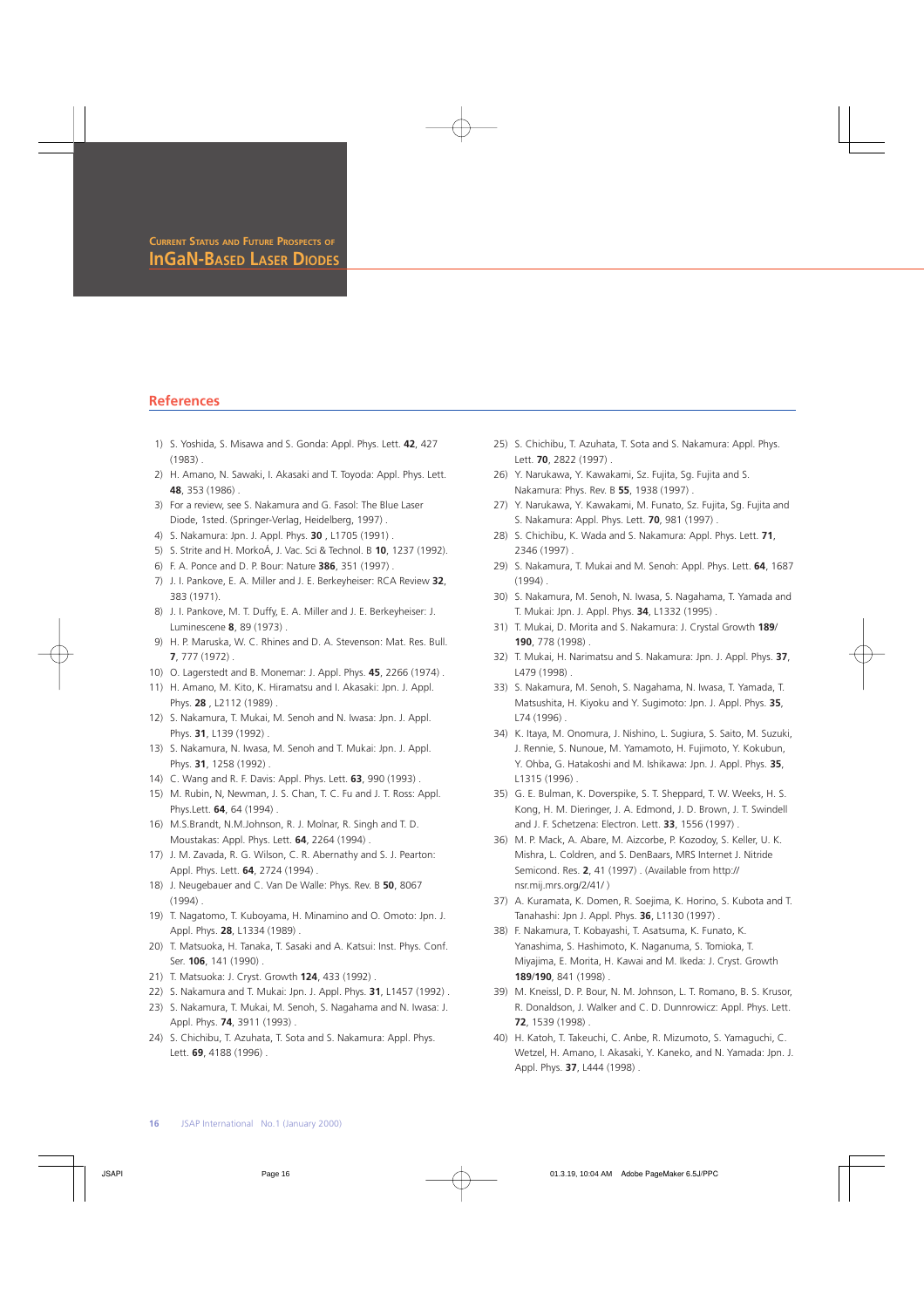### **References**

- 1) S. Yoshida, S. Misawa and S. Gonda: Appl. Phys. Lett. **42**, 427 (1983) .
- 2) H. Amano, N. Sawaki, I. Akasaki and T. Toyoda: Appl. Phys. Lett. **48**, 353 (1986) .
- 3) For a review, see S. Nakamura and G. Fasol: The Blue Laser Diode, 1sted. (Springer-Verlag, Heidelberg, 1997) .
- 4) S. Nakamura: Jpn. J. Appl. Phys. **30** , L1705 (1991) .
- 5) S. Strite and H. MorkoÁ, J. Vac. Sci & Technol. B **10**, 1237 (1992).
- 6) F. A. Ponce and D. P. Bour: Nature **386**, 351 (1997) .
- 7) J. I. Pankove, E. A. Miller and J. E. Berkeyheiser: RCA Review **32**, 383 (1971).
- 8) J. I. Pankove, M. T. Duffy, E. A. Miller and J. E. Berkeyheiser: J. Luminescene **8**, 89 (1973) .
- 9) H. P. Maruska, W. C. Rhines and D. A. Stevenson: Mat. Res. Bull. **7**, 777 (1972) .
- 10) O. Lagerstedt and B. Monemar: J. Appl. Phys. **45**, 2266 (1974) .
- 11) H. Amano, M. Kito, K. Hiramatsu and I. Akasaki: Jpn. J. Appl. Phys. **28** , L2112 (1989) .
- 12) S. Nakamura, T. Mukai, M. Senoh and N. Iwasa: Jpn. J. Appl. Phys. **31**, L139 (1992) .
- 13) S. Nakamura, N. Iwasa, M. Senoh and T. Mukai: Jpn. J. Appl. Phys. **31**, 1258 (1992) .
- 14) C. Wang and R. F. Davis: Appl. Phys. Lett. **63**, 990 (1993) .
- 15) M. Rubin, N, Newman, J. S. Chan, T. C. Fu and J. T. Ross: Appl. Phys.Lett. **64**, 64 (1994) .
- 16) M.S.Brandt, N.M.Johnson, R. J. Molnar, R. Singh and T. D. Moustakas: Appl. Phys. Lett. **64**, 2264 (1994) .
- 17) J. M. Zavada, R. G. Wilson, C. R. Abernathy and S. J. Pearton: Appl. Phys. Lett. **64**, 2724 (1994) .
- 18) J. Neugebauer and C. Van De Walle: Phys. Rev. B **50**, 8067 (1994) .
- 19) T. Nagatomo, T. Kuboyama, H. Minamino and O. Omoto: Jpn. J. Appl. Phys. **28**, L1334 (1989) .
- 20) T. Matsuoka, H. Tanaka, T. Sasaki and A. Katsui: Inst. Phys. Conf. Ser. **106**, 141 (1990) .
- 21) T. Matsuoka: J. Cryst. Growth **124**, 433 (1992) .
- 22) S. Nakamura and T. Mukai: Jpn. J. Appl. Phys. **31**, L1457 (1992) .
- 23) S. Nakamura, T. Mukai, M. Senoh, S. Nagahama and N. Iwasa: J. Appl. Phys. **74**, 3911 (1993) .
- 24) S. Chichibu, T. Azuhata, T. Sota and S. Nakamura: Appl. Phys. Lett. **69**, 4188 (1996) .
- 25) S. Chichibu, T. Azuhata, T. Sota and S. Nakamura: Appl. Phys. Lett. **70**, 2822 (1997) .
- 26) Y. Narukawa, Y. Kawakami, Sz. Fujita, Sg. Fujita and S. Nakamura: Phys. Rev. B **55**, 1938 (1997) .
- 27) Y. Narukawa, Y. Kawakami, M. Funato, Sz. Fujita, Sg. Fujita and S. Nakamura: Appl. Phys. Lett. **70**, 981 (1997) .
- 28) S. Chichibu, K. Wada and S. Nakamura: Appl. Phys. Lett. **71**, 2346 (1997) .
- 29) S. Nakamura, T. Mukai and M. Senoh: Appl. Phys. Lett. **64**, 1687 (1994) .
- 30) S. Nakamura, M. Senoh, N. Iwasa, S. Nagahama, T. Yamada and T. Mukai: Jpn. J. Appl. Phys. **34**, L1332 (1995) .
- 31) T. Mukai, D. Morita and S. Nakamura: J. Crystal Growth **189**/ **190**, 778 (1998) .
- 32) T. Mukai, H. Narimatsu and S. Nakamura: Jpn. J. Appl. Phys. **37**, L479 (1998) .
- 33) S. Nakamura, M. Senoh, S. Nagahama, N. Iwasa, T. Yamada, T. Matsushita, H. Kiyoku and Y. Sugimoto: Jpn. J. Appl. Phys. **35**, L74 (1996) .
- 34) K. Itaya, M. Onomura, J. Nishino, L. Sugiura, S. Saito, M. Suzuki, J. Rennie, S. Nunoue, M. Yamamoto, H. Fujimoto, Y. Kokubun, Y. Ohba, G. Hatakoshi and M. Ishikawa: Jpn. J. Appl. Phys. **35**, L1315 (1996) .
- 35) G. E. Bulman, K. Doverspike, S. T. Sheppard, T. W. Weeks, H. S. Kong, H. M. Dieringer, J. A. Edmond, J. D. Brown, J. T. Swindell and J. F. Schetzena: Electron. Lett. **33**, 1556 (1997) .
- 36) M. P. Mack, A. Abare, M. Aizcorbe, P. Kozodoy, S. Keller, U. K. Mishra, L. Coldren, and S. DenBaars, MRS Internet J. Nitride Semicond. Res. **2**, 41 (1997) . (Available from http:// nsr.mij.mrs.org/2/41/ )
- 37) A. Kuramata, K. Domen, R. Soejima, K. Horino, S. Kubota and T. Tanahashi: Jpn J. Appl. Phys. **36**, L1130 (1997) .
- 38) F. Nakamura, T. Kobayashi, T. Asatsuma, K. Funato, K. Yanashima, S. Hashimoto, K. Naganuma, S. Tomioka, T. Miyajima, E. Morita, H. Kawai and M. Ikeda: J. Cryst. Growth **189**/**190**, 841 (1998) .
- 39) M. Kneissl, D. P. Bour, N. M. Johnson, L. T. Romano, B. S. Krusor, R. Donaldson, J. Walker and C. D. Dunnrowicz: Appl. Phys. Lett. **72**, 1539 (1998) .
- 40) H. Katoh, T. Takeuchi, C. Anbe, R. Mizumoto, S. Yamaguchi, C. Wetzel, H. Amano, I. Akasaki, Y. Kaneko, and N. Yamada: Jpn. J. Appl. Phys. **37**, L444 (1998) .